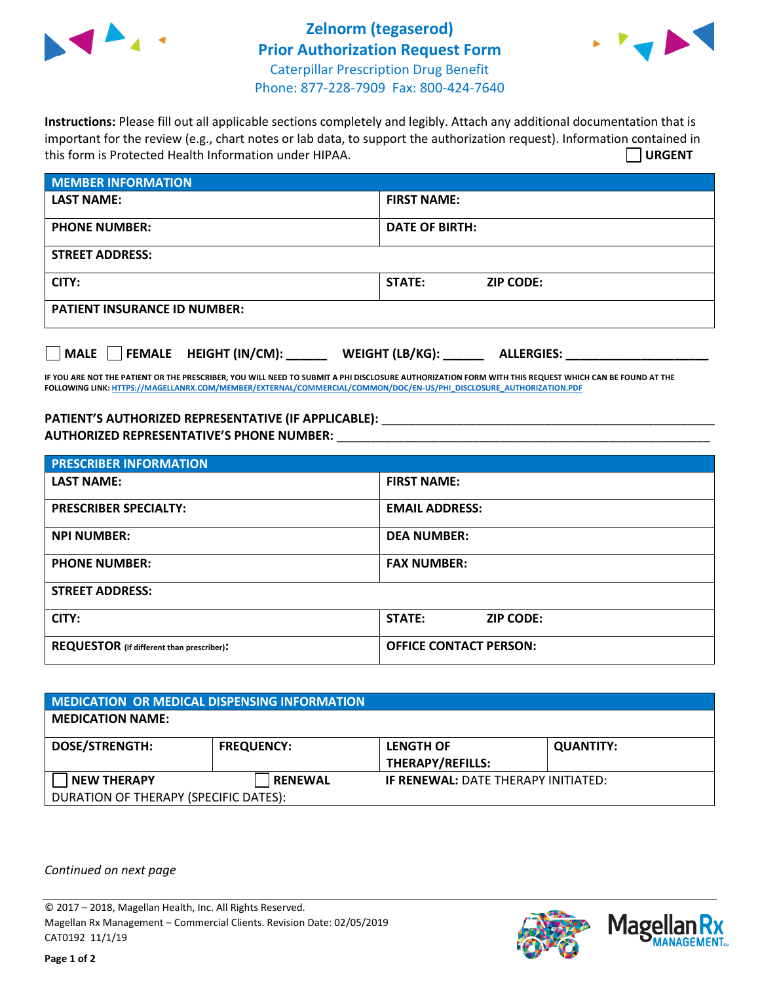

## **Zelnorm (tegaserod) Prior Authorization Request Form** Caterpillar Prescription Drug Benefit Phone: 877-228-7909 Fax: 800-424-7640



**Instructions:** Please fill out all applicable sections completely and legibly. Attach any additional documentation that is important for the review (e.g., chart notes or lab data, to support the authorization request). Information contained in this form is Protected Health Information under HIPAA. **URGENT**

| <b>MEMBER INFORMATION</b>           |                                   |  |  |  |
|-------------------------------------|-----------------------------------|--|--|--|
| <b>LAST NAME:</b>                   | <b>FIRST NAME:</b>                |  |  |  |
| <b>PHONE NUMBER:</b>                | <b>DATE OF BIRTH:</b>             |  |  |  |
| <b>STREET ADDRESS:</b>              |                                   |  |  |  |
| CITY:                               | <b>STATE:</b><br><b>ZIP CODE:</b> |  |  |  |
| <b>PATIENT INSURANCE ID NUMBER:</b> |                                   |  |  |  |

**MALE FEMALE HEIGHT (IN/CM): \_\_\_\_\_\_ WEIGHT (LB/KG): \_\_\_\_\_\_ ALLERGIES: \_\_\_\_\_\_\_\_\_\_\_\_\_\_\_\_\_\_\_\_\_**

**IF YOU ARE NOT THE PATIENT OR THE PRESCRIBER, YOU WILL NEED TO SUBMIT A PHI DISCLOSURE AUTHORIZATION FORM WITH THIS REQUEST WHICH CAN BE FOUND AT THE FOLLOWING LINK[: HTTPS://MAGELLANRX.COM/MEMBER/EXTERNAL/COMMERCIAL/COMMON/DOC/EN-US/PHI\\_DISCLOSURE\\_AUTHORIZATION.PDF](https://magellanrx.com/member/external/commercial/common/doc/en-us/PHI_Disclosure_Authorization.pdf)**

## PATIENT'S AUTHORIZED REPRESENTATIVE (IF APPLICABLE): \_\_\_\_\_\_\_\_\_\_\_\_\_\_\_\_\_\_\_\_\_\_\_\_\_\_\_ **AUTHORIZED REPRESENTATIVE'S PHONE NUMBER:** \_\_\_\_\_\_\_\_\_\_\_\_\_\_\_\_\_\_\_\_\_\_\_\_\_\_\_\_\_\_\_\_\_\_\_\_\_\_\_\_\_\_\_\_\_\_\_\_\_\_\_\_\_\_\_

| <b>PRESCRIBER INFORMATION</b>             |                               |  |  |  |
|-------------------------------------------|-------------------------------|--|--|--|
| <b>LAST NAME:</b>                         | <b>FIRST NAME:</b>            |  |  |  |
| <b>PRESCRIBER SPECIALTY:</b>              | <b>EMAIL ADDRESS:</b>         |  |  |  |
| <b>NPI NUMBER:</b>                        | <b>DEA NUMBER:</b>            |  |  |  |
| <b>PHONE NUMBER:</b>                      | <b>FAX NUMBER:</b>            |  |  |  |
| <b>STREET ADDRESS:</b>                    |                               |  |  |  |
| CITY:                                     | STATE:<br><b>ZIP CODE:</b>    |  |  |  |
| REQUESTOR (if different than prescriber): | <b>OFFICE CONTACT PERSON:</b> |  |  |  |

| <b>MEDICATION OR MEDICAL DISPENSING INFORMATION</b> |                   |                                             |                  |  |  |
|-----------------------------------------------------|-------------------|---------------------------------------------|------------------|--|--|
| <b>MEDICATION NAME:</b>                             |                   |                                             |                  |  |  |
| <b>DOSE/STRENGTH:</b>                               | <b>FREQUENCY:</b> | <b>LENGTH OF</b><br><b>THERAPY/REFILLS:</b> | <b>QUANTITY:</b> |  |  |
| <b>NEW THERAPY</b>                                  | <b>RENEWAL</b>    | <b>IF RENEWAL: DATE THERAPY INITIATED:</b>  |                  |  |  |
| DURATION OF THERAPY (SPECIFIC DATES):               |                   |                                             |                  |  |  |

*Continued on next page*

© 2017 – 2018, Magellan Health, Inc. All Rights Reserved. Magellan Rx Management – Commercial Clients. Revision Date: 02/05/2019 CAT0192 11/1/19